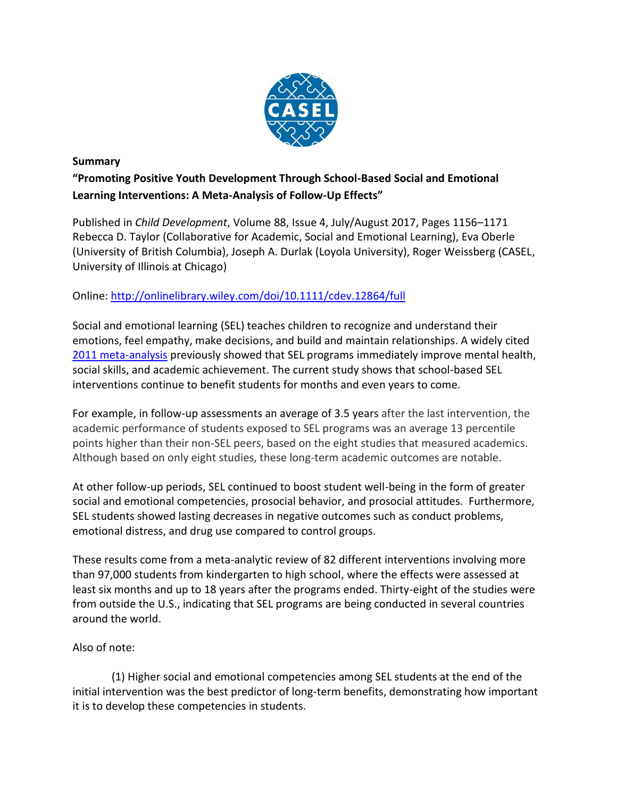

## **Summary**

**"Promoting Positive Youth Development Through School-Based Social and Emotional Learning Interventions: A Meta-Analysis of Follow-Up Effects"** 

Published in *Child Development*, Volume 88, Issue 4, July/August 2017, Pages 1156–1171 Rebecca D. Taylor (Collaborative for Academic, Social and Emotional Learning), Eva Oberle (University of British Columbia), Joseph A. Durlak (Loyola University), Roger Weissberg (CASEL, University of Illinois at Chicago)

## Online:<http://onlinelibrary.wiley.com/doi/10.1111/cdev.12864/full>

Social and emotional learning (SEL) teaches children to recognize and understand their emotions, feel empathy, make decisions, and build and maintain relationships. A widely cited [2011 meta-analysis](http://www.casel.org/wp-content/uploads/2016/01/meta-analysis-child-development-1.pdf) previously showed that SEL programs immediately improve mental health, social skills, and academic achievement. The current study shows that school-based SEL interventions continue to benefit students for months and even years to come.

For example, in follow-up assessments an average of 3.5 years after the last intervention, the academic performance of students exposed to SEL programs was an average 13 percentile points higher than their non-SEL peers, based on the eight studies that measured academics. Although based on only eight studies, these long-term academic outcomes are notable.

At other follow-up periods, SEL continued to boost student well-being in the form of greater social and emotional competencies, prosocial behavior, and prosocial attitudes. Furthermore, SEL students showed lasting decreases in negative outcomes such as conduct problems, emotional distress, and drug use compared to control groups.

These results come from a meta-analytic review of 82 different interventions involving more than 97,000 students from kindergarten to high school, where the effects were assessed at least six months and up to 18 years after the programs ended. Thirty-eight of the studies were from outside the U.S., indicating that SEL programs are being conducted in several countries around the world.

## Also of note:

(1) Higher social and emotional competencies among SEL students at the end of the initial intervention was the best predictor of long-term benefits, demonstrating how important it is to develop these competencies in students.